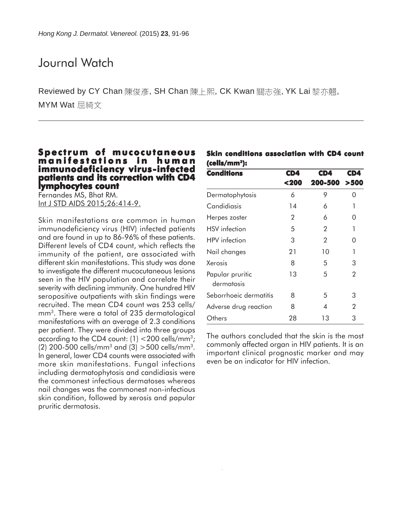## Journal Watch

Reviewed by CY Chan 陳俊彥, SH Chan 陳上熙, CK Kwan 關志強, YK Lai 黎亦翹, MYM Wat 屈綺文

### **Spectrum of mucocutaneous manifestations in human immunodeficiency virus-infected patients and its correction with CD4 lymphocytes count lymphocytes count**

Fernandes MS, Bhat RM. Int J STD AIDS 2015;26:414-9.

Skin manifestations are common in human immunodeficiency virus (HIV) infected patients and are found in up to 86-96% of these patients. Different levels of CD4 count, which reflects the immunity of the patient, are associated with different skin manifestations. This study was done to investigate the different mucocutaneous lesions seen in the HIV population and correlate their severity with declining immunity. One hundred HIV seropositive outpatients with skin findings were recruited. The mean CD4 count was 253 cells/ mm3. There were a total of 235 dermatological manifestations with an average of 2.3 conditions per patient. They were divided into three groups according to the CD4 count:  $(1)$  <200 cells/mm<sup>3</sup>; (2) 200-500 cells/mm<sup>3</sup> and (3)  $>$  500 cells/mm<sup>3</sup>. In general, lower CD4 counts were associated with more skin manifestations. Fungal infections including dermatophytosis and candidiasis were the commonest infectious dermatoses whereas nail changes was the commonest non-infectious skin condition, followed by xerosis and papular pruritic dermatosis.

|                           | Skin conditions association with CD4 count |  |  |
|---------------------------|--------------------------------------------|--|--|
| (cells/mm <sup>3</sup> ): |                                            |  |  |

| <b>Conditions</b>              | CD4  | CD4     | CD4            |  |  |  |  |
|--------------------------------|------|---------|----------------|--|--|--|--|
|                                | <200 | 200-500 | >500           |  |  |  |  |
| Dermatophytosis                | 6    | 9       | 0              |  |  |  |  |
| Candidiasis                    | 14   | 6       | 1              |  |  |  |  |
| Herpes zoster                  | 2    | 6       | 0              |  |  |  |  |
| <b>HSV</b> infection           | 5    | 2       | 1              |  |  |  |  |
| HPV infection                  | 3    | 2       | 0              |  |  |  |  |
| Nail changes                   | 21   | 10      | 1              |  |  |  |  |
| Xerosis                        | 8    | 5       | 3              |  |  |  |  |
| Papular pruritic<br>dermatosis | 13   | 5       | $\overline{2}$ |  |  |  |  |
| Seborrhoeic dermatitis         | 8    | 5       | 3              |  |  |  |  |
| Adverse drug reaction          | 8    | 4       | 2              |  |  |  |  |
| Others                         | 28   | 13      | 3              |  |  |  |  |

The authors concluded that the skin is the most commonly affected organ in HIV patients. It is an important clinical prognostic marker and may even be an indicator for HIV infection.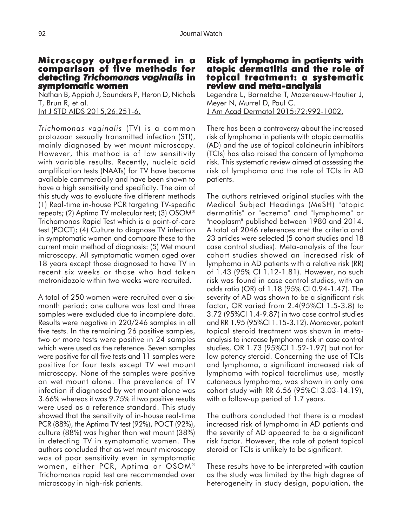#### **Microscopy outperformed in a comparison of five methods for detecting** *Trichomonas vaginalis* **in symptomatic women**

Nathan B, Appiah J, Saunders P, Heron D, Nichols T, Brun R, et al. Int J STD AIDS 2015; 26: 251-6.

*Trichomonas vaginalis* (TV) is a common protozoan sexually transmitted infection (STI), mainly diagnosed by wet mount microscopy. However, this method is of low sensitivity with variable results. Recently, nucleic acid amplification tests (NAATs) for TV have become available commercially and have been shown to have a high sensitivity and specificity. The aim of this study was to evaluate five different methods (1) Real-time in-house PCR targeting TV-specific repeats; (2) Aptima TV molecular test; (3) OSOM® Trichomonas Rapid Test which is a point-of-care test (POCT); (4) Culture to diagnose TV infection in symptomatic women and compare these to the current main method of diagnosis: (5) Wet mount microscopy. All symptomatic women aged over 18 years except those diagnosed to have TV in recent six weeks or those who had taken metronidazole within two weeks were recruited.

A total of 250 women were recruited over a sixmonth period; one culture was lost and three samples were excluded due to incomplete data. Results were negative in 220/246 samples in all five tests. In the remaining 26 positive samples, two or more tests were positive in 24 samples which were used as the reference. Seven samples were positive for all five tests and 11 samples were positive for four tests except TV wet mount microscopy. None of the samples were positive on wet mount alone. The prevalence of TV infection if diagnosed by wet mount alone was 3.66% whereas it was 9.75% if two positive results were used as a reference standard. This study showed that the sensitivity of in-house real-time PCR (88%), the Aptima TV test (92%), POCT (92%), culture (88%) was higher than wet mount (38%) in detecting TV in symptomatic women. The authors concluded that as wet mount microscopy was of poor sensitivity even in symptomatic women, either PCR, Aptima or OSOM® Trichomonas rapid test are recommended over microscopy in high-risk patients.

### **Risk of lymphoma in patients with atopic dermatitis and the role of dermatitis and of topical treatment: a systematic review and meta-analysis**

Legendre L, Barnetche T, Mazereeuw-Hautier J, Meyer N, Murrel D, Paul C. J Am Acad Dermatol 2015;72:992-1002.

There has been a controversy about the increased risk of lymphoma in patients with atopic dermatitis (AD) and the use of topical calcineurin inhibitors (TCIs) has also raised the concern of lymphoma risk. This systematic review aimed at assessing the risk of lymphoma and the role of TCIs in AD patients.

The authors retrieved original studies with the Medical Subject Headings (MeSH) "atopic dermatitis" or "eczema" and "lymphoma" or "neoplasm" published between 1980 and 2014. A total of 2046 references met the criteria and 23 articles were selected (5 cohort studies and 18 case control studies). Meta-analysis of the four cohort studies showed an increased risk of lymphoma in AD patients with a relative risk (RR) of 1.43 (95% CI 1.12-1.81). However, no such risk was found in case control studies, with an odds ratio (OR) of 1.18 (95% CI 0.94-1.47). The severity of AD was shown to be a significant risk factor, OR varied from 2.4(95%CI 1.5-3.8) to 3.72 (95%CI 1.4-9.87) in two case control studies and RR 1.95 (95%CI 1.15-3.12). Moreover, potent topical steroid treatment was shown in metaanalysis to increase lymphoma risk in case control studies, OR 1.73 (95%CI 1.52-1.97) but not for low potency steroid. Concerning the use of TCIs and lymphoma, a significant increased risk of lymphoma with topical tacrolimus use, mostly cutaneous lymphoma, was shown in only one cohort study with RR 6.56 (95%CI 3.03-14.19), with a follow-up period of 1.7 years.

The authors concluded that there is a modest increased risk of lymphoma in AD patients and the severity of AD appeared to be a significant risk factor. However, the role of potent topical steroid or TCIs is unlikely to be significant.

These results have to be interpreted with caution as the study was limited by the high degree of heterogeneity in study design, population, the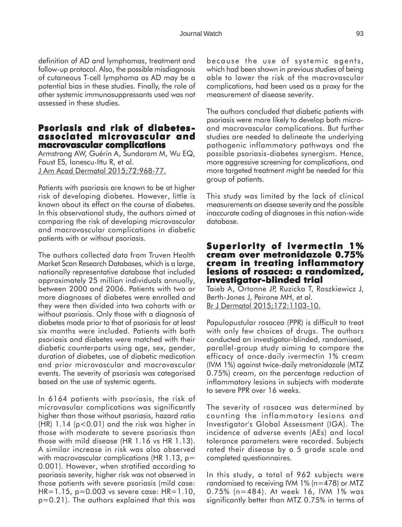definition of AD and lymphomas, treatment and follow-up protocol. Also, the possible misdiagnosis of cutaneous T-cell lymphoma as AD may be a potential bias in these studies. Finally, the role of other systemic immunosuppressants used was not assessed in these studies.

## **Psoriasis and risk of diabetes- associated microvascular and macrovascular complications**

Armstrong AW, Guérin A, Sundaram M, Wu EQ, Faust ES, Ionescu-Ittu R, et al. J Am Acad Dermatol 2015;72:968-77.

Patients with psoriasis are known to be at higher risk of developing diabetes. However, little is known about its effect on the course of diabetes. In this observational study, the authors aimed at comparing the risk of developing microvascular and macrovascular complications in diabetic patients with or without psoriasis.

The authors collected data from Truven Health Market Scan Research Databases, which is a large, nationally representative database that included approximately 25 million individuals annually, between 2000 and 2006. Patients with two or more diagnoses of diabetes were enrolled and they were then divided into two cohorts with or without psoriasis. Only those with a diagnosis of diabetes made prior to that of psoriasis for at least six months were included. Patients with both psoriasis and diabetes were matched with their diabetic counterparts using age, sex, gender, duration of diabetes, use of diabetic medication and prior microvascular and macrovascular events. The severity of psoriasis was categorised based on the use of systemic agents.

In 6164 patients with psoriasis, the risk of microvasular complications was significantly higher than those without psoriasis, hazard ratio  $(HR)$  1.14 ( $p < 0.01$ ) and the risk was higher in those with moderate to severe psoriasis than those with mild disease (HR 1.16 vs HR 1.13). A similar increase in risk was also observed with macrovascular complications (HR 1.13,  $p=$ 0.001). However, when stratified according to psoriasis severity, higher risk was not observed in those patients with severe psoriasis (mild case:  $HR=1.15$ ,  $p=0.003$  vs severe case:  $HR=1.10$ , p=0.21). The authors explained that this was

because the use of systemic agents, which had been shown in previous studies of being able to lower the risk of the macrovascular complications, had been used as a proxy for the measurement of disease severity.

The authors concluded that diabetic patients with psoriasis were more likely to develop both microand macrovascular complications. But further studies are needed to delineate the underlying pathogenic inflammatory pathways and the possible psoriasis-diabetes synergism. Hence, more aggressive screening for complications, and more targeted treatment might be needed for this group of patients.

This study was limited by the lack of clinical measurements on disease severity and the possible inaccurate coding of diagnoses in this nation-wide database.

### **Superiority of ivermectin 1% cream over metronidazole 0.75% cream in treating inflammatory lesions of rosacea: a randomized, lesions of a randomized, investigator-blinded trial**

Taieb A, Ortonne JP, Ruzicka T, Roszkiewicz J, Berth-Jones J, Peirone MH, et al. Br J Dermatol 2015;172:1103-10.

Papulopustular rosacea (PPR) is difficult to treat with only few choices of drugs. The authors conducted an investigator-blinded, randomised, parallel-group study aiming to compare the efficacy of once-daily ivermectin 1% cream (IVM 1%) against twice-daily metronidazole (MTZ 0.75%) cream, on the percentage reduction of inflammatory lesions in subjects with moderate to severe PPR over 16 weeks.

The severity of rosacea was determined by counting the inflammatory lesions and Investigator's Global Assessment (IGA). The incidence of adverse events (AEs) and local tolerance parameters were recorded. Subjects rated their disease by a 5 grade scale and completed questionnaires.

In this study, a total of 962 subjects were randomised to receiving IVM 1% (n=478) or MTZ 0.75% (n=484). At week 16, IVM 1% was significantly better than MTZ 0.75% in terms of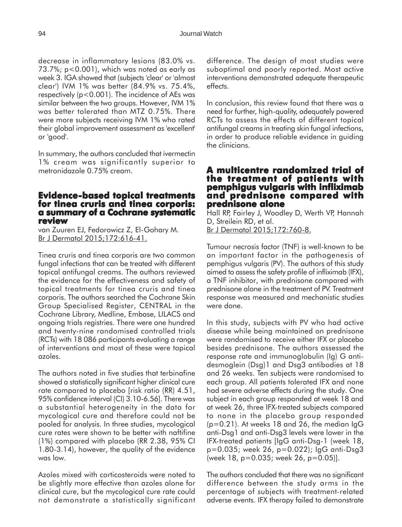decrease in inflammatory lesions (83.0% vs. 73.7%; p<0.001), which was noted as early as week 3. IGA showed that (subjects 'clear' or 'almost clear') IVM 1% was better (84.9% vs. 75.4%, respectively (p<0.001). The incidence of AEs was similar between the two groups. However, IVM 1% was better tolerated than MTZ 0.75%. There were more subjects receiving IVM 1% who rated their global improvement assessment as 'excellent' or 'good'.

In summary, the authors concluded that ivermectin 1% cream was significantly superior to metronidazole 0.75% cream.

## **Evidence-based topical treatments for tinea cruris and tinea corporis: cruris tinea a summary of a Cochrane systematic review**

van Zuuren EJ, Fedorowicz Z, El-Gohary M. Br J Dermatol 2015;172:616-41.

Tinea cruris and tinea corporis are two common fungal infections that can be treated with different topical antifungal creams. The authors reviewed the evidence for the effectiveness and safety of topical treatments for tinea cruris and tinea corporis. The authors searched the Cochrane Skin Group Specialised Register, CENTRAL in the Cochrane Library, Medline, Embase, LILACS and ongoing trials registries. There were one hundred and twenty-nine randomised controlled trials (RCTs) with 18 086 participants evaluating a range of interventions and most of these were topical azoles.

The authors noted in five studies that terbinafine showed a statistically significant higher clinical cure rate compared to placebo [risk ratio (RR) 4.51, 95% confidence interval (CI) 3.10-6.56]. There was a substantial heterogeneity in the data for mycological cure and therefore could not be pooled for analysis. In three studies, mycological cure rates were shown to be better with naftifine (1%) compared with placebo (RR 2.38, 95% CI 1.80-3.14), however, the quality of the evidence was low.

Azoles mixed with corticosteroids were noted to be slightly more effective than azoles alone for clinical cure, but the mycological cure rate could not demonstrate a statistically significant difference. The design of most studies were suboptimal and poorly reported. Most active interventions demonstrated adequate therapeutic effects.

In conclusion, this review found that there was a need for further, high-quality, adequately powered RCTs to assess the effects of different topical antifungal creams in treating skin fungal infections, in order to produce reliable evidence in guiding the clinicians.

### **A multicentre randomized trial of trial of the treatment of patients with pemphigus vulgaris with infliximab and prednisone compared with prednisone alone**

Hall RP, Fairley J, Woodley D, Werth VP, Hannah D, Streilein RD, et al. Br J Dermatol 2015;172:760-8.

Tumour necrosis factor (TNF) is well-known to be an important factor in the pathogenesis of pemphigus vulgaris (PV). The authors of this study aimed to assess the safety profile of infliximab (IFX), a TNF inhibitor, with prednisone compared with prednisone alone in the treatment of PV. Treatment response was measured and mechanistic studies were done.

In this study, subjects with PV who had active disease while being maintained on prednisone were randomised to receive either IFX or placebo besides prednisone. The authors assessed the response rate and immunoglobulin (Ig) G antidesmoglein (Dsg)1 and Dsg3 antibodies at 18 and 26 weeks. Ten subjects were randomised to each group. All patients tolerated IFX and none had severe adverse effects during the study. One subject in each group responded at week 18 and at week 26, three IFX-treated subjects compared to none in the placebo group responded  $(p=0.21)$ . At weeks 18 and 26, the median IgG anti-Dsg1 and anti-Dsg3 levels were lower in the IFX-treated patients [IgG anti-Dsg-1 (week 18, p=0.035; week 26, p=0.022); IgG anti-Dsg3 (week 18, p=0.035; week 26, p=0.05)].

The authors concluded that there was no significant difference between the study arms in the percentage of subjects with treatment-related adverse events. IFX therapy failed to demonstrate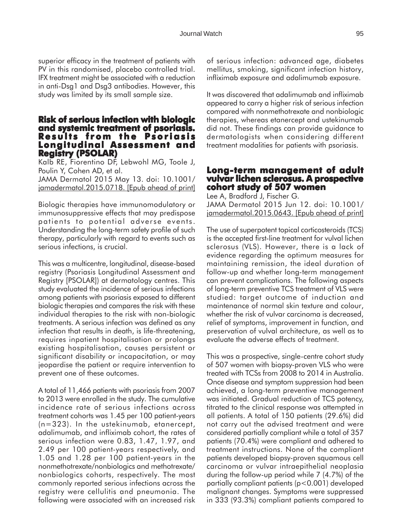superior efficacy in the treatment of patients with PV in this randomised, placebo controlled trial. IFX treatment might be associated with a reduction in anti-Dsg1 and Dsg3 antibodies. However, this study was limited by its small sample size.

### **Risk of serious infection with biologic and systemic treatment of psoriasis. and treatment of Results from the Psoriasis Longitudinal Assessment and Registry (PSOLAR) egistry**

Kalb RE, Fiorentino DF, Lebwohl MG, Toole J, Poulin Y, Cohen AD, et al. JAMA Dermatol 2015 May 13. doi: 10.1001/ jamadermatol.2015.0718. [Epub ahead of print]

Biologic therapies have immunomodulatory or immunosuppressive effects that may predispose patients to potential adverse events. Understanding the long-term safety profile of such therapy, particularly with regard to events such as serious infections, is crucial.

This was a multicentre, longitudinal, disease-based registry (Psoriasis Longitudinal Assessment and Registry [PSOLAR]) at dermatology centres. This study evaluated the incidence of serious infections among patients with psoriasis exposed to different biologic therapies and compares the risk with these individual therapies to the risk with non-biologic treatments. A serious infection was defined as any infection that results in death, is life-threatening, requires inpatient hospitalisation or prolongs existing hospitalisation, causes persistent or significant disability or incapacitation, or may jeopardise the patient or require intervention to prevent one of these outcomes.

A total of 11,466 patients with psoriasis from 2007 to 2013 were enrolled in the study. The cumulative incidence rate of serious infections across treatment cohorts was 1.45 per 100 patient-years (n=323). In the ustekinumab, etanercept, adalimumab, and infliximab cohort, the rates of serious infection were 0.83, 1.47, 1.97, and 2.49 per 100 patient-years respectively, and 1.05 and 1.28 per 100 patient-years in the nonmethotrexate/nonbiologics and methotrexate/ nonbiologics cohorts, respectively. The most commonly reported serious infections across the registry were cellulitis and pneumonia. The following were associated with an increased risk

of serious infection: advanced age, diabetes mellitus, smoking, significant infection history, infliximab exposure and adalimumab exposure.

It was discovered that adalimumab and infliximab appeared to carry a higher risk of serious infection compared with nonmethotrexate and nonbiologic therapies, whereas etanercept and ustekinumab did not. These findings can provide guidance to dermatologists when considering different treatment modalities for patients with psoriasis.

### **Long-term management of adult Long-term of adult vulvar lichen sclerosus. A prospective cohort study of 507 women**

Lee A, Bradford J, Fischer G. JAMA Dermatol 2015 Jun 12. doi: 10.1001/ jamadermatol.2015.0643. [Epub ahead of print]

The use of superpotent topical corticosteroids (TCS) is the accepted first-line treatment for vulval lichen sclerosus (VLS). However, there is a lack of evidence regarding the optimum measures for maintaining remission, the ideal duration of follow-up and whether long-term management can prevent complications. The following aspects of long-term preventive TCS treatment of VLS were studied: target outcome of induction and maintenance of normal skin texture and colour, whether the risk of vulvar carcinoma is decreased, relief of symptoms, improvement in function, and preservation of vulval architecture, as well as to evaluate the adverse effects of treatment.

This was a prospective, single-centre cohort study of 507 women with biopsy-proven VLS who were treated with TCSs from 2008 to 2014 in Australia. Once disease and symptom suppression had been achieved, a long-term preventive management was initiated. Gradual reduction of TCS potency, titrated to the clinical response was attempted in all patients. A total of 150 patients (29.6%) did not carry out the advised treatment and were considered partially compliant while a total of 357 patients (70.4%) were compliant and adhered to treatment instructions. None of the compliant patients developed biopsy-proven squamous cell carcinoma or vulvar intraepithelial neoplasia during the follow-up period while 7 (4.7%) of the partially compliant patients (p<0.001) developed malignant changes. Symptoms were suppressed in 333 (93.3%) compliant patients compared to